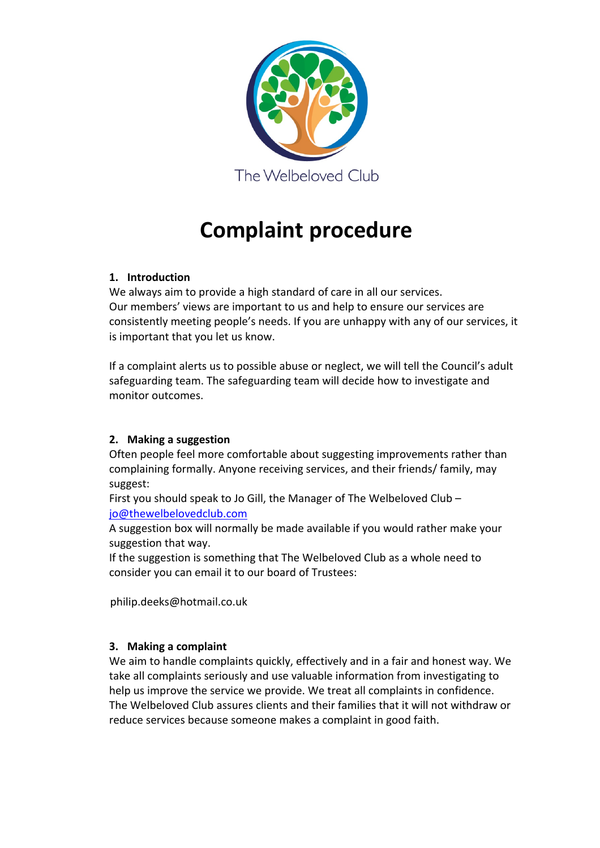

# **Complaint procedure**

## **1. Introduction**

We always aim to provide a high standard of care in all our services. Our members' views are important to us and help to ensure our services are consistently meeting people's needs. If you are unhappy with any of our services, it is important that you let us know.

If a complaint alerts us to possible abuse or neglect, we will tell the Council's adult safeguarding team. The safeguarding team will decide how to investigate and monitor outcomes.

## **2. Making a suggestion**

Often people feel more comfortable about suggesting improvements rather than complaining formally. Anyone receiving services, and their friends/ family, may suggest:

First you should speak to Jo Gill, the Manager of The Welbeloved Club – jo@thewelbelovedclub.com

A suggestion box will normally be made available if you would rather make your suggestion that way.

If the suggestion is something that The Welbeloved Club as a whole need to consider you can email it to our board of Trustees:

philip.deeks@hotmail.co.uk

## **3. Making a complaint**

We aim to handle complaints quickly, effectively and in a fair and honest way. We take all complaints seriously and use valuable information from investigating to help us improve the service we provide. We treat all complaints in confidence. The Welbeloved Club assures clients and their families that it will not withdraw or reduce services because someone makes a complaint in good faith.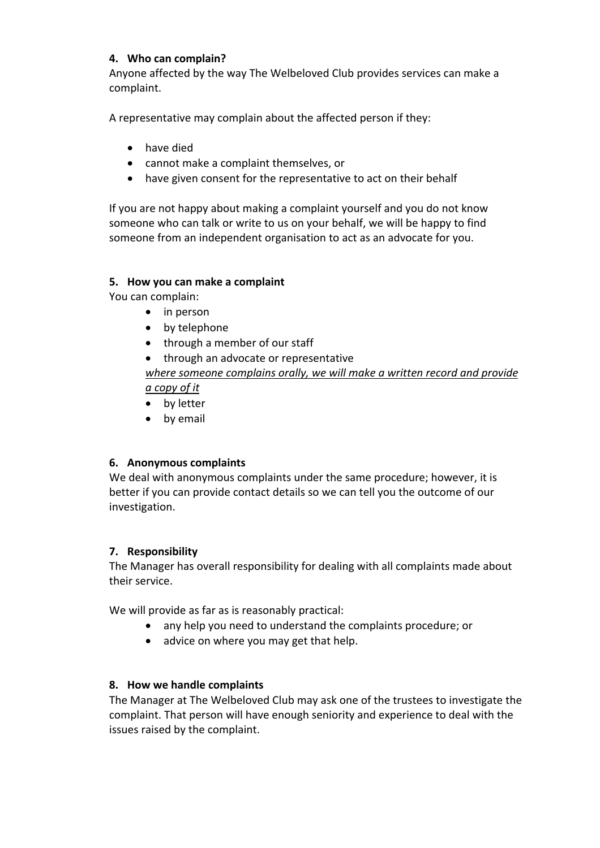## **4. Who can complain?**

Anyone affected by the way The Welbeloved Club provides services can make a complaint.

A representative may complain about the affected person if they:

- have died
- cannot make a complaint themselves, or
- have given consent for the representative to act on their behalf

If you are not happy about making a complaint yourself and you do not know someone who can talk or write to us on your behalf, we will be happy to find someone from an independent organisation to act as an advocate for you.

## **5. How you can make a complaint**

You can complain:

- in person
- by telephone
- through a member of our staff

• through an advocate or representative *where someone complains orally, we will make a written record and provide a copy of it* 

- by letter
- by email

## **6. Anonymous complaints**

We deal with anonymous complaints under the same procedure; however, it is better if you can provide contact details so we can tell you the outcome of our investigation.

#### **7. Responsibility**

The Manager has overall responsibility for dealing with all complaints made about their service.

We will provide as far as is reasonably practical:

- any help you need to understand the complaints procedure; or
- advice on where you may get that help.

#### **8. How we handle complaints**

The Manager at The Welbeloved Club may ask one of the trustees to investigate the complaint. That person will have enough seniority and experience to deal with the issues raised by the complaint.